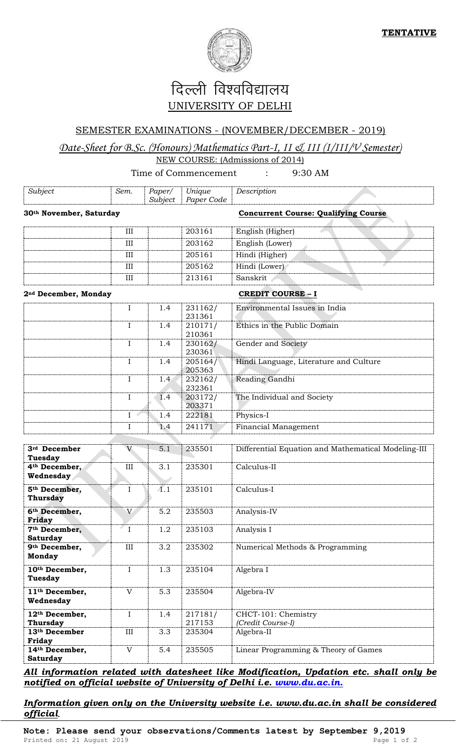

## दिल्ली विश्वविद्यालय UNIVERSITY OF DELHI

## SEMESTER EXAMINATIONS - (NOVEMBER/DECEMBER - 2019)

## *Date-Sheet for B.Sc. (Honours) Mathematics Part-I, II & III (I/III/V Semester)*  NEW COURSE: (Admissions of 2014)

## Time of Commencement : 9:30 AM

| Subject                                                  | Sem.         | Paper/<br>Subject | Unique<br>Paper Code | Description                                         |
|----------------------------------------------------------|--------------|-------------------|----------------------|-----------------------------------------------------|
| 30th November, Saturday                                  |              |                   |                      | <b>Concurrent Course: Qualifying Course</b>         |
|                                                          | III          |                   | 203161               | English (Higher)                                    |
|                                                          | III          |                   | 203162               | English (Lower)                                     |
|                                                          | III          |                   | 205161               | Hindi (Higher)                                      |
|                                                          | III          |                   | 205162               | Hindi (Lower)                                       |
|                                                          | III          |                   | 213161               | Sanskrit                                            |
| 2 <sup>nd</sup> December, Monday                         |              |                   |                      | <b>CREDIT COURSE - I</b>                            |
|                                                          | I            | 1.4               | 231162/<br>231361    | Environmental Issues in India                       |
|                                                          | $\mathbf{I}$ | 1.4               | 210171/<br>210361    | Ethics in the Public Domain                         |
|                                                          | $\mathbf{I}$ | 1.4               | 230162/<br>230361    | Gender and Society                                  |
|                                                          | $\mathbf{I}$ | 1.4               | 205164/<br>205363    | Hindi Language, Literature and Culture              |
|                                                          | $\mathbf I$  | 1.4               | 232162/<br>232361    | Reading Gandhi                                      |
|                                                          | $\mathbf I$  | 1.4               | 203172/<br>203371    | The Individual and Society                          |
|                                                          | I            | 1.4               | 222181               | Physics-I                                           |
|                                                          | I            | 1.4               | 241171               | Financial Management                                |
| 3rd December                                             | V            | 5.1               | 235501               | Differential Equation and Mathematical Modeling-III |
| <b>Tuesday</b><br>4 <sup>th</sup> December,<br>Wednesday | III          | 3.1               | 235301               | Calculus-II                                         |
| 5 <sup>th</sup> December,<br><b>Thursday</b>             | $\rm I$      | $\overline{4.1}$  | 235101               | Calculus-I                                          |
| 6th December,<br><b>Friday</b>                           | V            | 5.2               | 235503               | Analysis-IV                                         |
| 7th December,<br><b>Saturday</b>                         | $\mathbf I$  | 1.2               | 235103               | Analysis I                                          |
| 9th December,<br><b>Monday</b>                           | $\rm III$    | 3.2               | 235302               | Numerical Methods & Programming                     |
| 10th December,<br>Tuesday                                | $\mathbf I$  | 1.3               | 235104               | Algebra I                                           |
| 11 <sup>th</sup> December,<br>Wednesday                  | $\mathbf V$  | 5.3               | 235504               | Algebra-IV                                          |
| 12th December,<br><b>Thursday</b>                        | $\rm I$      | 1.4               | 217181/<br>217153    | CHCT-101: Chemistry<br>(Credit Course-I)            |
| 13 <sup>th</sup> December<br>Friday                      | $\rm III$    | 3.3               | 235304               | Algebra-II                                          |
| 14th December,<br><b>Saturday</b>                        | $\mathbf V$  | 5.4               | 235505               | Linear Programming & Theory of Games                |

*All information related with datesheet like Modification, Updation etc. shall only be notified on official website of University of Delhi i.e. [www.du.ac.in.](http://www.du.ac.in/)*

*Information given only on the University website i.e. www.du.ac.in shall be considered official.*